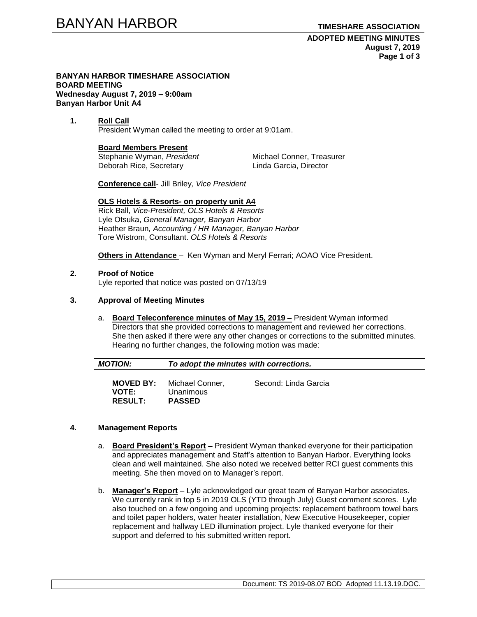**ADOPTED MEETING MINUTES August 7, 2019 Page 1 of 3**

#### **BANYAN HARBOR TIMESHARE ASSOCIATION BOARD MEETING Wednesday August 7, 2019 – 9:00am Banyan Harbor Unit A4**

**1. Roll Call** President Wyman called the meeting to order at 9:01am.

# **Board Members Present**

Stephanie Wyman, President Michael Conner, Treasurer Deborah Rice, Secretary **Linda Garcia, Director** 

**Conference call**- Jill Briley*, Vice President*

# **OLS Hotels & Resorts- on property unit A4**

Rick Ball, *Vice-President, OLS Hotels & Resorts* Lyle Otsuka, *General Manager, Banyan Harbor* Heather Braun*, Accounting / HR Manager, Banyan Harbor* Tore Wistrom, Consultant. *OLS Hotels & Resorts* 

**Others in Attendance** – Ken Wyman and Meryl Ferrari; AOAO Vice President.

# **2. Proof of Notice**

Lyle reported that notice was posted on 07/13/19

# **3. Approval of Meeting Minutes**

a. **Board Teleconference minutes of May 15, 2019 –** President Wyman informed Directors that she provided corrections to management and reviewed her corrections. She then asked if there were any other changes or corrections to the submitted minutes. Hearing no further changes, the following motion was made:

| MOTION:<br>To adopt the minutes with corrections. |
|---------------------------------------------------|
|---------------------------------------------------|

| <b>MOVED BY:</b>               | Michael Conner,            | Second: Linda Garcia |
|--------------------------------|----------------------------|----------------------|
| <b>VOTE:</b><br><b>RESULT:</b> | Unanimous<br><b>PASSED</b> |                      |

# **4. Management Reports**

- a. **Board President's Report –** President Wyman thanked everyone for their participation and appreciates management and Staff's attention to Banyan Harbor. Everything looks clean and well maintained. She also noted we received better RCI guest comments this meeting. She then moved on to Manager's report.
- b. **Manager's Report** Lyle acknowledged our great team of Banyan Harbor associates. We currently rank in top 5 in 2019 OLS (YTD through July) Guest comment scores. Lyle also touched on a few ongoing and upcoming projects: replacement bathroom towel bars and toilet paper holders, water heater installation, New Executive Housekeeper, copier replacement and hallway LED illumination project. Lyle thanked everyone for their support and deferred to his submitted written report.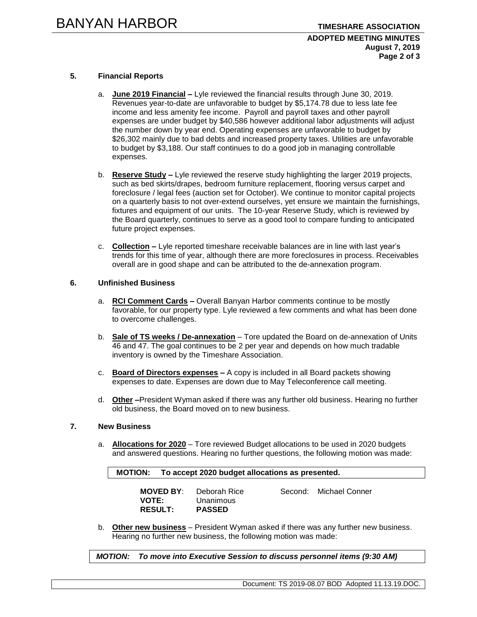#### **ADOPTED MEETING MINUTES August 7, 2019 Page 2 of 3**

# **5. Financial Reports**

- a. **June 2019 Financial –** Lyle reviewed the financial results through June 30, 2019. Revenues year-to-date are unfavorable to budget by \$5,174.78 due to less late fee income and less amenity fee income. Payroll and payroll taxes and other payroll expenses are under budget by \$40,586 however additional labor adjustments will adjust the number down by year end. Operating expenses are unfavorable to budget by \$26,302 mainly due to bad debts and increased property taxes. Utilities are unfavorable to budget by \$3,188. Our staff continues to do a good job in managing controllable expenses.
- b. **Reserve Study –** Lyle reviewed the reserve study highlighting the larger 2019 projects, such as bed skirts/drapes, bedroom furniture replacement, flooring versus carpet and foreclosure / legal fees (auction set for October). We continue to monitor capital projects on a quarterly basis to not over-extend ourselves, yet ensure we maintain the furnishings, fixtures and equipment of our units. The 10-year Reserve Study, which is reviewed by the Board quarterly, continues to serve as a good tool to compare funding to anticipated future project expenses.
- c. **Collection –** Lyle reported timeshare receivable balances are in line with last year's trends for this time of year, although there are more foreclosures in process. Receivables overall are in good shape and can be attributed to the de-annexation program.

# **6. Unfinished Business**

- a. **RCI Comment Cards –** Overall Banyan Harbor comments continue to be mostly favorable, for our property type. Lyle reviewed a few comments and what has been done to overcome challenges.
- b. **Sale of TS weeks / De-annexation** Tore updated the Board on de-annexation of Units 46 and 47. The goal continues to be 2 per year and depends on how much tradable inventory is owned by the Timeshare Association.
- c. **Board of Directors expenses –** A copy is included in all Board packets showing expenses to date. Expenses are down due to May Teleconference call meeting.
- d. **Other –**President Wyman asked if there was any further old business. Hearing no further old business, the Board moved on to new business.

#### **7. New Business**

a. **Allocations for 2020** – Tore reviewed Budget allocations to be used in 2020 budgets and answered questions. Hearing no further questions, the following motion was made:

**MOTION: To accept 2020 budget allocations as presented.** 

| <b>MOVED BY:</b> | Deborah Rice  | Second: Michael Conner |
|------------------|---------------|------------------------|
| <b>VOTE:</b>     | Unanimous     |                        |
| <b>RESULT:</b>   | <b>PASSED</b> |                        |

b. **Other new business** – President Wyman asked if there was any further new business. Hearing no further new business, the following motion was made:

*MOTION: To move into Executive Session to discuss personnel items (9:30 AM)*

Document: TS 2019-08.07 BOD Adopted 11.13.19.DOC.